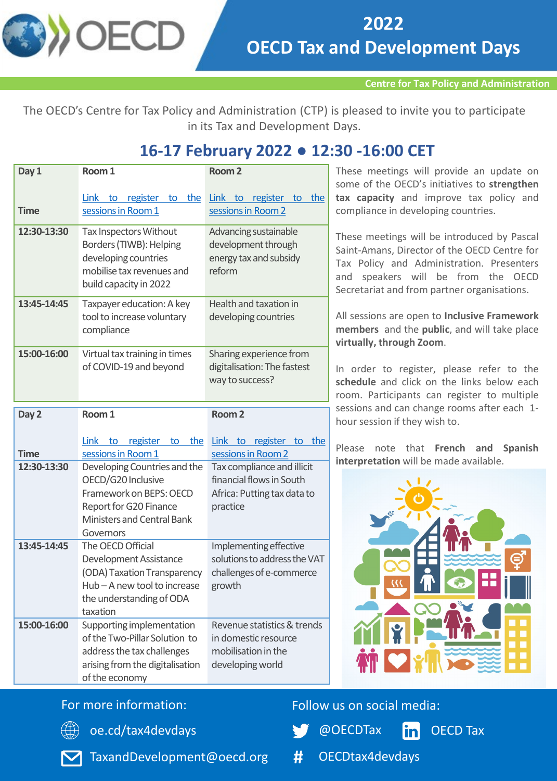

**Centre for Tax Policy and Administration** 

The OECD's Centre for Tax Policy and Administration (CTP) is pleased to invite you to participate in its Tax and Development Days.

# **16-17 February 2022 ● 12:30 -16:00 CET**

| Day 1       | Room 1                                                                                                                                             | Room <sub>2</sub>                                                                                 |
|-------------|----------------------------------------------------------------------------------------------------------------------------------------------------|---------------------------------------------------------------------------------------------------|
| <b>Time</b> | register<br>the<br><b>Link</b><br>to<br>to<br>sessions in Room 1                                                                                   | Link to<br>register to the<br>sessions in Room 2                                                  |
| 12:30-13:30 | Tax Inspectors Without<br>Borders (TIWB): Helping<br>developing countries<br>mobilise tax revenues and<br>build capacity in 2022                   | Advancing sustainable<br>development through<br>energy tax and subsidy<br>reform                  |
| 13:45-14:45 | Taxpayer education: A key<br>tool to increase voluntary<br>compliance                                                                              | Health and taxation in<br>developing countries                                                    |
| 15:00-16:00 | Virtual tax training in times<br>of COVID-19 and beyond                                                                                            | Sharing experience from<br>digitalisation: The fastest<br>way to success?                         |
| Day 2       | Room 1                                                                                                                                             | Room <sub>2</sub>                                                                                 |
|             | <b>Link</b><br>register<br>the<br>to<br>to                                                                                                         | Link to<br>register to the                                                                        |
| <b>Time</b> | sessions in Room 1                                                                                                                                 | sessions in Room 2                                                                                |
| 12:30-13:30 | Developing Countries and the<br>OECD/G20 Inclusive<br>Framework on BEPS: OECD<br>Report for G20 Finance<br>Ministers and Central Bank<br>Governors | Tax compliance and illicit<br>financial flows in South<br>Africa: Putting tax data to<br>practice |
| 13:45-14:45 | The OECD Official<br>Development Assistance<br>(ODA) Taxation Transparency<br>Hub-A new tool to increase<br>the understanding of ODA<br>taxation   | Implementing effective<br>solutions to address the VAT<br>challenges of e-commerce<br>growth      |
| 15:00-16:00 | Supporting implementation<br>of the Two-Pillar Solution to<br>address the tax challenges<br>arising from the digitalisation<br>of the economy      | Revenue statistics & trends<br>in domestic resource<br>mobilisation in the<br>developing world    |

hese meetings will provide an update on ome of the OECD's initiatives to strengthen **tax capacity** and improve tax policy and compliance in developing countries.

hese meetings will be introduced by Pascal aint-Amans, Director of the OECD Centre for ax Policy and Administration. Presenters and speakers will be from the OECD ecretariat and from partner organisations.

All sessions are open to **Inclusive Framework members** and the **public**, and will take place **virtually, through Zoom**.

n order to register, please refer to the **schedule** and click on the links below each oom. Participants can register to multiple essions and can change rooms after each 1our session if they wish to.

Please note that **French and Spanish interpretation** will be made available.



## For more information:



[oe.cd/tax4devdays](https://oe.cd/tax4devdays)

Follow us on social media:

@OECDTax

OECD Tax



TaxandDevelopment@oecd.org

**#** OECDtax4devdays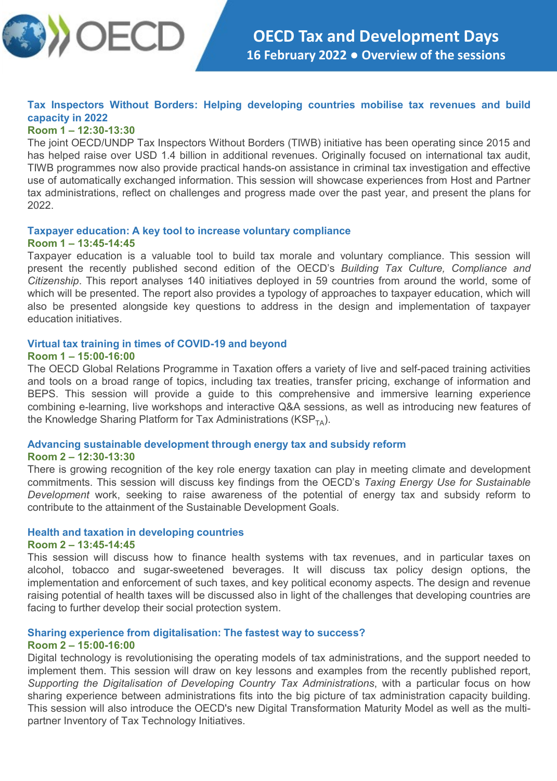

## **Tax Inspectors Without Borders: Helping developing countries mobilise tax revenues and build capacity in 2022**

#### **Room 1 – 12:30-13:30**

The joint OECD/UNDP Tax Inspectors Without Borders (TIWB) initiative has been operating since 2015 and has helped raise over USD 1.4 billion in additional revenues. Originally focused on international tax audit, TIWB programmes now also provide practical hands-on assistance in criminal tax investigation and effective use of automatically exchanged information. This session will showcase experiences from Host and Partner tax administrations, reflect on challenges and progress made over the past year, and present the plans for 2022.

#### **Taxpayer education: A key tool to increase voluntary compliance Room 1 – 13:45-14:45**

Taxpayer education is a valuable tool to build tax morale and voluntary compliance. This session will present the recently published second edition of the OECD's *Building Tax Culture, Compliance and Citizenship*. This report analyses 140 initiatives deployed in 59 countries from around the world, some of which will be presented. The report also provides a typology of approaches to taxpayer education, which will also be presented alongside key questions to address in the design and implementation of taxpayer education initiatives.

#### **Virtual tax training in times of COVID-19 and beyond Room 1 – 15:00-16:00**

The OECD Global Relations Programme in Taxation offers a variety of live and self-paced training activities and tools on a broad range of topics, including tax treaties, transfer pricing, exchange of information and BEPS. This session will provide a guide to this comprehensive and immersive learning experience combining e-learning, live workshops and interactive Q&A sessions, as well as introducing new features of the Knowledge Sharing Platform for Tax Administrations ( $KSP_{TA}$ ).

### **Advancing sustainable development through energy tax and subsidy reform Room 2 – 12:30-13:30**

There is growing recognition of the key role energy taxation can play in meeting climate and development commitments. This session will discuss key findings from the OECD's *Taxing Energy Use for Sustainable Development* work, seeking to raise awareness of the potential of energy tax and subsidy reform to contribute to the attainment of the Sustainable Development Goals.

#### **Health and taxation in developing countries**

#### **Room 2 – 13:45-14:45**

This session will discuss how to finance health systems with tax revenues, and in particular taxes on alcohol, tobacco and sugar-sweetened beverages. It will discuss tax policy design options, the implementation and enforcement of such taxes, and key political economy aspects. The design and revenue raising potential of health taxes will be discussed also in light of the challenges that developing countries are facing to further develop their social protection system.

#### **Sharing experience from digitalisation: The fastest way to success?**

#### **Room 2 – 15:00-16:00**

Digital technology is revolutionising the operating models of tax administrations, and the support needed to implement them. This session will draw on key lessons and examples from the recently published report, *Supporting the Digitalisation of Developing Country Tax Administrations*, with a particular focus on how sharing experience between administrations fits into the big picture of tax administration capacity building. This session will also introduce the OECD's new Digital Transformation Maturity Model as well as the multipartner Inventory of Tax Technology Initiatives.